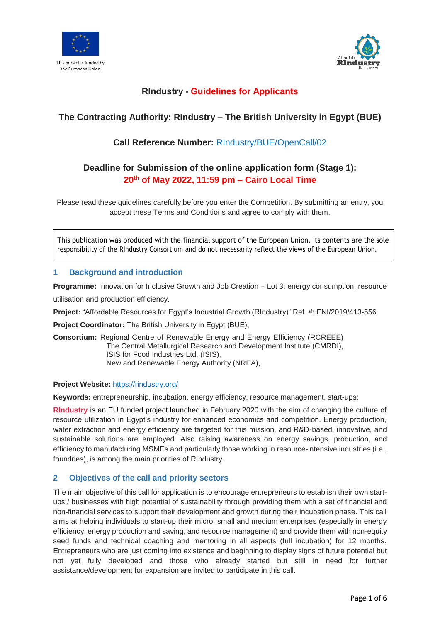



# **RIndustry - Guidelines for Applicants**

# **The Contracting Authority: RIndustry – The British University in Egypt (BUE)**

# **Call Reference Number:** RIndustry/BUE/OpenCall/02

# **Deadline for Submission of the online application form (Stage 1): 20th of May 2022, 11:59 pm – Cairo Local Time**

Please read these guidelines carefully before you enter the Competition. By submitting an entry, you accept these Terms and Conditions and agree to comply with them.

This publication was produced with the financial support of the European Union. Its contents are the sole responsibility of the RIndustry Consortium and do not necessarily reflect the views of the European Union.

# **1 Background and introduction**

**Programme:** Innovation for Inclusive Growth and Job Creation – Lot 3: energy consumption, resource utilisation and production efficiency.

**Project:** "Affordable Resources for Egypt's Industrial Growth (RIndustry)" Ref. #: ENI/2019/413-556

**Project Coordinator:** The British University in Egypt (BUE);

**Consortium:** Regional Centre of Renewable Energy and Energy Efficiency (RCREEE) The Central Metallurgical Research and Development Institute (CMRDI), ISIS for Food Industries Ltd. (ISIS), New and Renewable Energy Authority (NREA),

## **Project Website:** <https://rindustry.org/>

**Keywords:** entrepreneurship, incubation, energy efficiency, resource management, start-ups;

**RIndustry** is an EU funded project launched in February 2020 with the aim of changing the culture of resource utilization in Egypt's industry for enhanced economics and competition. Energy production, water extraction and energy efficiency are targeted for this mission, and R&D-based, innovative, and sustainable solutions are employed. Also raising awareness on energy savings, production, and efficiency to manufacturing MSMEs and particularly those working in resource-intensive industries (i.e., foundries), is among the main priorities of RIndustry.

# **2 Objectives of the call and priority sectors**

The main objective of this call for application is to encourage entrepreneurs to establish their own startups / businesses with high potential of sustainability through providing them with a set of financial and non-financial services to support their development and growth during their incubation phase. This call aims at helping individuals to start-up their micro, small and medium enterprises (especially in energy efficiency, energy production and saving, and resource management) and provide them with non-equity seed funds and technical coaching and mentoring in all aspects (full incubation) for 12 months. Entrepreneurs who are just coming into existence and beginning to display signs of future potential but not yet fully developed and those who already started but still in need for further assistance/development for expansion are invited to participate in this call.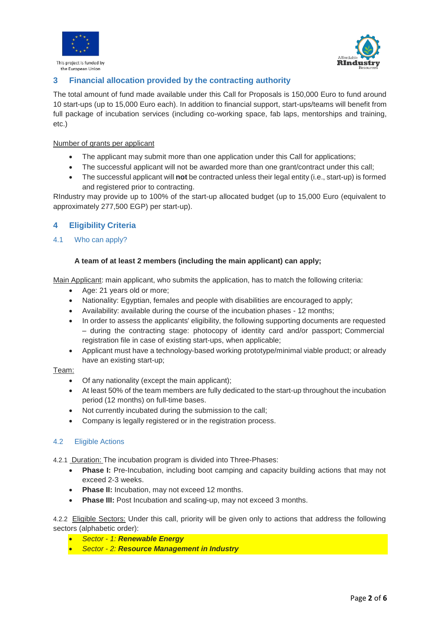



# **3 Financial allocation provided by the contracting authority**

The total amount of fund made available under this Call for Proposals is 150,000 Euro to fund around 10 start-ups (up to 15,000 Euro each). In addition to financial support, start-ups/teams will benefit from full package of incubation services (including co-working space, fab laps, mentorships and training, etc.)

## Number of grants per applicant

- The applicant may submit more than one application under this Call for applications;
- The successful applicant will not be awarded more than one grant/contract under this call;
- The successful applicant will **not** be contracted unless their legal entity (i.e., start-up) is formed and registered prior to contracting.

RIndustry may provide up to 100% of the start-up allocated budget (up to 15,000 Euro (equivalent to approximately 277,500 EGP) per start-up).

# **4 Eligibility Criteria**

## 4.1 Who can apply?

## **A team of at least 2 members (including the main applicant) can apply;**

Main Applicant: main applicant, who submits the application, has to match the following criteria:

- Age: 21 years old or more;
- Nationality: Egyptian, females and people with disabilities are encouraged to apply;
- Availability: available during the course of the incubation phases 12 months;
- In order to assess the applicants' eligibility, the following supporting documents are requested – during the contracting stage: photocopy of identity card and/or passport; Commercial registration file in case of existing start-ups, when applicable;
- Applicant must have a technology-based working prototype/minimal viable product; or already have an existing start-up;

## Team:

- Of any nationality (except the main applicant);
- At least 50% of the team members are fully dedicated to the start-up throughout the incubation period (12 months) on full-time bases.
- Not currently incubated during the submission to the call;
- Company is legally registered or in the registration process.

## 4.2 Eligible Actions

4.2.1 Duration: The incubation program is divided into Three-Phases:

- **Phase I:** Pre-Incubation, including boot camping and capacity building actions that may not exceed 2-3 weeks.
- **Phase II:** Incubation, may not exceed 12 months.
- **Phase III:** Post Incubation and scaling-up, may not exceed 3 months.

4.2.2 Eligible Sectors: Under this call, priority will be given only to actions that address the following sectors (alphabetic order):

- *Sector - 1: Renewable Energy*
- *Sector - 2: Resource Management in Industry*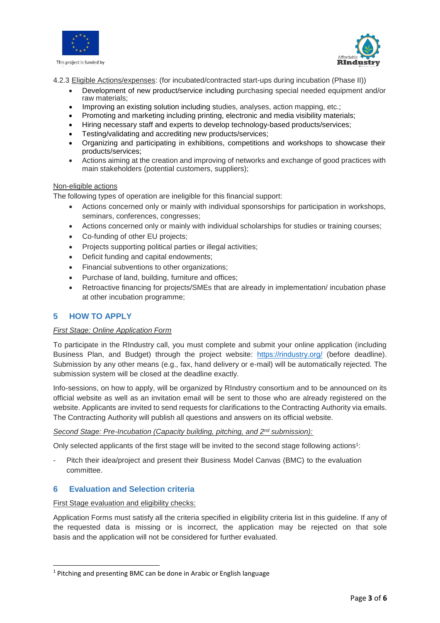



4.2.3 Eligible Actions/expenses: (for incubated/contracted start-ups during incubation (Phase II))

- raw materials; Development of new product/service including purchasing special needed equipment and/or
- Improving an existing solution including studies, analyses, action mapping, etc.;
- Promoting and marketing including printing, electronic and media visibility materials;
- Hiring necessary staff and experts to develop technology-based products/services;
- Testing/validating and accrediting new products/services;
- Organizing and participating in exhibitions, competitions and workshops to showcase their products/services;
- Actions aiming at the creation and improving of networks and exchange of good practices with main stakeholders (potential customers, suppliers);

#### Non-eligible actions

The following types of operation are ineligible for this financial support:

- Actions concerned only or mainly with individual sponsorships for participation in workshops, seminars, conferences, congresses;
- Actions concerned only or mainly with individual scholarships for studies or training courses;
- Co-funding of other EU projects;
- Projects supporting political parties or illegal activities;
- Deficit funding and capital endowments;
- Financial subventions to other organizations;
- Purchase of land, building, furniture and offices;
- Retroactive financing for projects/SMEs that are already in implementation/ incubation phase at other incubation programme;

# **5 HOW TO APPLY**

## *First Stage: Online Application Form*

To participate in the RIndustry call, you must complete and submit your online application (including Business Plan, and Budget) through the project website: <https://rindustry.org/> (before deadline). Submission by any other means (e.g., fax, hand delivery or e-mail) will be automatically rejected. The submission system will be closed at the deadline exactly.

Info-sessions, on how to apply, will be organized by RIndustry consortium and to be announced on its official website as well as an invitation email will be sent to those who are already registered on the website. Applicants are invited to send requests for clarifications to the Contracting Authority via emails. The Contracting Authority will publish all questions and answers on its official website.

## *Second Stage: Pre-Incubation (Capacity building, pitching, and 2 nd submission):*

Only selected applicants of the first stage will be invited to the second stage following actions<sup>1</sup>:

Pitch their idea/project and present their Business Model Canvas (BMC) to the evaluation committee.

# **6 Evaluation and Selection criteria**

## First Stage evaluation and eligibility checks:

Application Forms must satisfy all the criteria specified in eligibility criteria list in this guideline. If any of the requested data is missing or is incorrect, the application may be rejected on that sole basis and the application will not be considered for further evaluated.

<sup>&</sup>lt;sup>1</sup> Pitching and presenting BMC can be done in Arabic or English language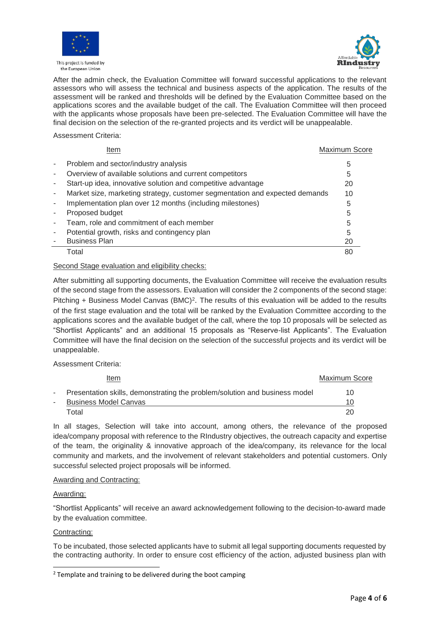



After the admin check, the Evaluation Committee will forward successful applications to the relevant assessors who will assess the technical and business aspects of the application. The results of the assessment will be ranked and thresholds will be defined by the Evaluation Committee based on the applications scores and the available budget of the call. The Evaluation Committee will then proceed with the applicants whose proposals have been pre-selected. The Evaluation Committee will have the final decision on the selection of the re-granted projects and its verdict will be unappealable.

#### Assessment Criteria:

| Item                                                                        | Maximum Score |
|-----------------------------------------------------------------------------|---------------|
| Problem and sector/industry analysis                                        | 5             |
| Overview of available solutions and current competitors                     | 5             |
| Start-up idea, innovative solution and competitive advantage                | 20            |
| Market size, marketing strategy, customer segmentation and expected demands | 10            |
| Implementation plan over 12 months (including milestones)                   | 5             |
| Proposed budget                                                             | 5             |
| Team, role and commitment of each member                                    | 5             |
| Potential growth, risks and contingency plan                                | 5             |
| <b>Business Plan</b>                                                        | 20            |
| Total                                                                       | 80            |

Second Stage evaluation and eligibility checks:

After submitting all supporting documents, the Evaluation Committee will receive the evaluation results of the second stage from the assessors. Evaluation will consider the 2 components of the second stage: Pitching + Business Model Canvas (BMC)<sup>2</sup>. The results of this evaluation will be added to the results of the first stage evaluation and the total will be ranked by the Evaluation Committee according to the applications scores and the available budget of the call, where the top 10 proposals will be selected as "Shortlist Applicants" and an additional 15 proposals as "Reserve-list Applicants". The Evaluation Committee will have the final decision on the selection of the successful projects and its verdict will be unappealable.

Assessment Criteria:

| Item                                                                       | <b>Maximum Score</b> |
|----------------------------------------------------------------------------|----------------------|
| Presentation skills, demonstrating the problem/solution and business model | 10                   |
| <b>Business Model Canvas</b>                                               | 10                   |
| Total                                                                      | 20                   |

In all stages, Selection will take into account, among others, the relevance of the proposed idea/company proposal with reference to the RIndustry objectives, the outreach capacity and expertise of the team, the originality & innovative approach of the idea/company, its relevance for the local community and markets, and the involvement of relevant stakeholders and potential customers. Only successful selected project proposals will be informed.

## Awarding and Contracting:

#### Awarding:

"Shortlist Applicants" will receive an award acknowledgement following to the decision-to-award made by the evaluation committee.

## Contracting:

To be incubated, those selected applicants have to submit all legal supporting documents requested by the contracting authority. In order to ensure cost efficiency of the action, adjusted business plan with

<sup>&</sup>lt;sup>2</sup> Template and training to be delivered during the boot camping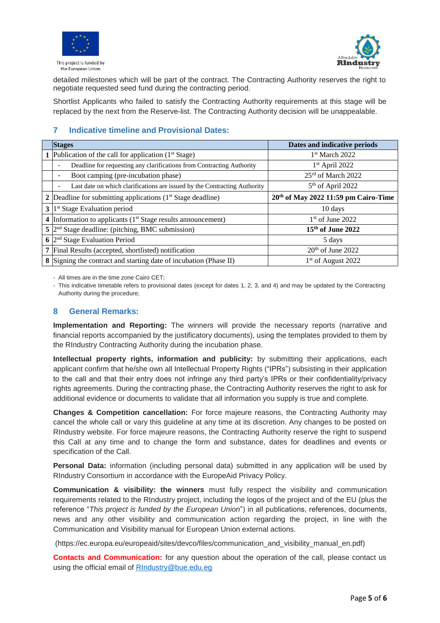



detailed milestones which will be part of the contract. The Contracting Authority reserves the right to negotiate requested seed fund during the contracting period.

Shortlist Applicants who failed to satisfy the Contracting Authority requirements at this stage will be replaced by the next from the Reserve-list. The Contracting Authority decision will be unappealable.

# **7 Indicative timeline and Provisional Dates:**

| <b>Stages</b>                                                             | Dates and indicative periods                     |  |  |  |
|---------------------------------------------------------------------------|--------------------------------------------------|--|--|--|
| Publication of the call for application $(1st Stage)$                     | 1st March 2022                                   |  |  |  |
| Deadline for requesting any clarifications from Contracting Authority     | $1st$ April 2022                                 |  |  |  |
| Boot camping (pre-incubation phase)                                       | 25rd of March 2022                               |  |  |  |
| Last date on which clarifications are issued by the Contracting Authority | $5th$ of April 2022                              |  |  |  |
| 2 Deadline for submitting applications $(1st Stage deadline)$             | 20 <sup>th</sup> of May 2022 11:59 pm Cairo-Time |  |  |  |
| $3 \vert 1^{st}$ Stage Evaluation period                                  | 10 days                                          |  |  |  |
| 4 Information to applicants $(1st Stege results announceement)$           | $1st$ of June 2022                               |  |  |  |
| $5\vert2^{nd}$ Stage deadline: (pitching, BMC submission)                 | $15th$ of June 2022                              |  |  |  |
| $\frac{1}{2}$ Stage Evaluation Period                                     | 5 days                                           |  |  |  |
| 7 Final Results (accepted, shortlisted) notification                      | $20th$ of June 2022                              |  |  |  |
| 8 Signing the contract and starting date of incubation (Phase II)         | 1 <sup>st</sup> of August 2022                   |  |  |  |

- All times are in the time zone Cairo CET;

- This indicative timetable refers to provisional dates (except for dates 1, 2, 3, and 4) and may be updated by the Contracting Authority during the procedure;

# **8 General Remarks:**

**Implementation and Reporting:** The winners will provide the necessary reports (narrative and financial reports accompanied by the justificatory documents), using the templates provided to them by the RIndustry Contracting Authority during the incubation phase.

**Intellectual property rights, information and publicity:** by submitting their applications, each applicant confirm that he/she own all Intellectual Property Rights ("IPRs") subsisting in their application to the call and that their entry does not infringe any third party's IPRs or their confidentiality/privacy rights agreements. During the contracting phase, the Contracting Authority reserves the right to ask for additional evidence or documents to validate that all information you supply is true and complete.

**Changes & Competition cancellation:** For force majeure reasons, the Contracting Authority may cancel the whole call or vary this guideline at any time at its discretion. Any changes to be posted on RIndustry website. For force majeure reasons, the Contracting Authority reserve the right to suspend this Call at any time and to change the form and substance, dates for deadlines and events or specification of the Call.

**Personal Data:** information (including personal data) submitted in any application will be used by RIndustry Consortium in accordance with the EuropeAid Privacy Policy.

**Communication & visibility: the winners** must fully respect the visibility and communication requirements related to the RIndustry project, including the logos of the project and of the EU (plus the reference "*This project is funded by the European Union*") in all publications, references, documents, news and any other visibility and communication action regarding the project, in line with the Communication and Visibility manual for European Union external actions.

(https://ec.europa.eu/europeaid/sites/devco/files/communication\_and\_visibility\_manual\_en.pdf)

**Contacts and Communication:** for any question about the operation of the call, please contact us using the official email of [RIndustry@bue.edu.eg](mailto:RIndustry@bue.edu.eg)